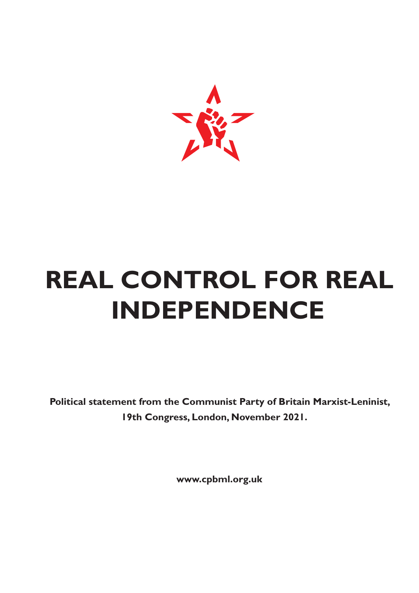

# **REAL CONTROL FOR REAL INDEPENDENCE**

**Political statement from the Communist Party of Britain Marxist-Leninist, 19th Congress, London, November 2021.**

**www.cpbml.org.uk**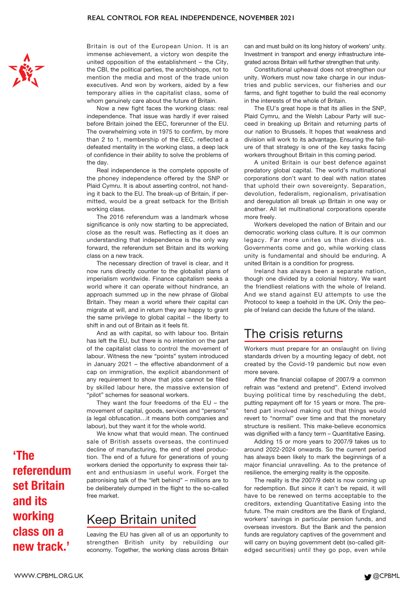

Britain is out of the European Union. It is an immense achievement, a victory won despite the united opposition of the establishment – the City, the CBI, the political parties, the archbishops, not to mention the media and most of the trade union executives. And won by workers, aided by a few temporary allies in the capitalist class, some of whom genuinely care about the future of Britain.

Now a new fight faces the working class: real independence. That issue was hardly if ever raised before Britain joined the EEC, forerunner of the EU. The overwhelming vote in 1975 to confirm, by more than 2 to 1, membership of the EEC, reflected a defeated mentality in the working class, a deep lack of confidence in their ability to solve the problems of the day.

Real independence is the complete opposite of the phoney independence offered by the SNP or Plaid Cymru. It is about asserting control, not handing it back to the EU. The break-up of Britain, if permitted, would be a great setback for the British working class.

The 2016 referendum was a landmark whose significance is only now starting to be appreciated, close as the result was. Reflecting as it does an understanding that independence is the only way forward, the referendum set Britain and its working class on a new track.

The necessary direction of travel is clear, and it now runs directly counter to the globalist plans of imperialism worldwide. Finance capitalism seeks a world where it can operate without hindrance, an approach summed up in the new phrase of Global Britain. They mean a world where their capital can migrate at will, and in return they are happy to grant the same privilege to global capital – the liberty to shift in and out of Britain as it feels fit.

And as with capital, so with labour too. Britain has left the EU, but there is no intention on the part of the capitalist class to control the movement of labour. Witness the new "points" system introduced in January 2021 – the effective abandonment of a cap on immigration, the explicit abandonment of any requirement to show that jobs cannot be filled by skilled labour here, the massive extension of "pilot" schemes for seasonal workers.

They want the four freedoms of the  $EU$  – the movement of capital, goods, services and "persons" (a legal obfuscation…it means both companies and labour), but they want it for the whole world.

We know what that would mean. The continued sale of British assets overseas, the continued decline of manufacturing, the end of steel production. The end of a future for generations of young workers denied the opportunity to express their talent and enthusiasm in useful work. Forget the patronising talk of the "left behind" – millions are to be deliberately dumped in the flight to the so-called free market.

## Keep Britain united

Leaving the EU has given all of us an opportunity to strengthen British unity by rebuilding our economy. Together, the working class across Britain can and must build on its long history of workers' unity. Investment in transport and energy infrastructure integrated across Britain will further strengthen that unity.

Constitutional upheaval does not strengthen our unity. Workers must now take charge in our industries and public services, our fisheries and our farms, and fight together to build the real economy in the interests of the whole of Britain.

The EU's great hope is that its allies in the SNP. Plaid Cymru, and the Welsh Labour Party will succeed in breaking up Britain and returning parts of our nation to Brussels. It hopes that weakness and division will work to its advantage. Ensuring the failure of that strategy is one of the key tasks facing workers throughout Britain in this coming period.

A united Britain is our best defence against predatory global capital. The world's multinational corporations don't want to deal with nation states that uphold their own sovereignty. Separation, devolution, federalism, regionalism, privatisation and deregulation all break up Britain in one way or another. All let multinational corporations operate more freely.

Workers developed the nation of Britain and our democratic working class culture. It is our common legacy. Far more unites us than divides us. Governments come and go, while working class unity is fundamental and should be enduring. A united Britain is a condition for progress.

Ireland has always been a separate nation, though one divided by a colonial history. We want the friendliest relations with the whole of Ireland. And we stand against EU attempts to use the Protocol to keep a toehold in the UK. Only the people of Ireland can decide the future of the island.

#### The crisis returns

Workers must prepare for an onslaught on living standards driven by a mounting legacy of debt, not created by the Covid-19 pandemic but now even more severe.

After the financial collapse of 2007/9 a common refrain was "extend and pretend". Extend involved buying political time by rescheduling the debt, putting repayment off for 15 years or more. The pretend part involved making out that things would revert to "normal" over time and that the monetary structure is resilient. This make-believe economics was dignified with a fancy term – Quantitative Easing.

Adding 15 or more years to 2007/9 takes us to around 2022-2024 onwards. So the current period has always been likely to mark the beginnings of a major financial unravelling. As to the pretence of resilience, the emerging reality is the opposite.

The reality is the 2007/9 debt is now coming up for redemption. But since it can't be repaid, it will have to be renewed on terms acceptable to the creditors, extending Quantitative Easing into the future. The main creditors are the Bank of England, workers' savings in particular pension funds, and overseas investors. But the Bank and the pension funds are regulatory captives of the government and will carry on buying government debt (so-called giltedged securities) until they go pop, even while

**'The referendum set Britain and its working class on a new track.'**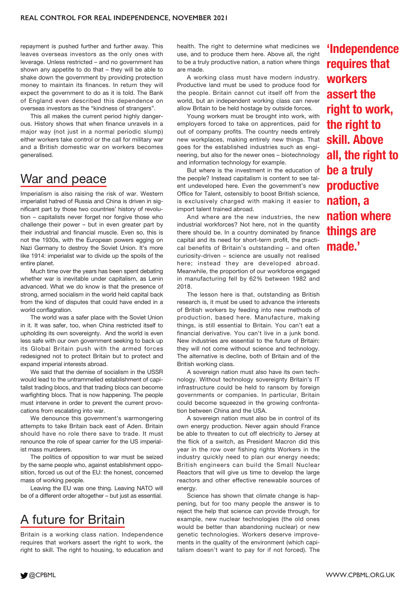repayment is pushed further and further away. This leaves overseas investors as the only ones with leverage. Unless restricted – and no government has shown any appetite to do that – they will be able to shake down the government by providing protection money to maintain its finances. In return they will expect the government to do as it is told. The Bank of England even described this dependence on overseas investors as the "kindness of strangers".

This all makes the current period highly dangerous. History shows that when finance unravels in a major way (not just in a normal periodic slump) either workers take control or the call for military war and a British domestic war on workers becomes generalised.

## War and peace

Imperialism is also raising the risk of war. Western imperialist hatred of Russia and China is driven in significant part by those two countries' history of revolution – capitalists never forget nor forgive those who challenge their power – but in even greater part by their industrial and financial muscle. Even so, this is not the 1930s, with the European powers egging on Nazi Germany to destroy the Soviet Union. It's more like 1914: imperialist war to divide up the spoils of the entire planet.

Much time over the years has been spent debating whether war is inevitable under capitalism, as Lenin advanced. What we do know is that the presence of strong, armed socialism in the world held capital back from the kind of disputes that could have ended in a world conflagration.

The world was a safer place with the Soviet Union in it. It was safer, too, when China restricted itself to upholding its own sovereignty. And the world is even less safe with our own government seeking to back up its Global Britain push with the armed forces redesigned not to protect Britain but to protect and expand imperial interests abroad.

We said that the demise of socialism in the USSR would lead to the untrammelled establishment of capitalist trading blocs, and that trading blocs can become warfighting blocs. That is now happening. The people must intervene in order to prevent the current provocations from escalating into war.

We denounce this government's warmongering attempts to take Britain back east of Aden. Britain should have no role there save to trade. It must renounce the role of spear carrier for the US imperialist mass murderers.

The politics of opposition to war must be seized by the same people who, against establishment opposition, forced us out of the EU: the honest, concerned mass of working people.

Leaving the EU was one thing. Leaving NATO will be of a different order altogether – but just as essential.

# A future for Britain

Britain is a working class nation. Independence requires that workers assert the right to work, the right to skill. The right to housing, to education and health. The right to determine what medicines we use, and to produce them here. Above all, the right to be a truly productive nation, a nation where things are made.

A working class must have modern industry. Productive land must be used to produce food for the people. Britain cannot cut itself off from the world, but an independent working class can never allow Britain to be held hostage by outside forces.

Young workers must be brought into work, with employers forced to take on apprentices, paid for out of company profits. The country needs entirely new workplaces, making entirely new things. That goes for the established industries such as engineering, but also for the newer ones – biotechnology and information technology for example.

But where is the investment in the education of the people? Instead capitalism is content to see talent undeveloped here. Even the government's new Office for Talent, ostensibly to boost British science, is exclusively charged with making it easier to import talent trained abroad.

And where are the new industries, the new industrial workforces? Not here, not in the quantity there should be. In a country dominated by finance capital and its need for short-term profit, the practical benefits of Britain's outstanding – and often curiosity-driven – science are usually not realised here; instead they are developed abroad. Meanwhile, the proportion of our workforce engaged in manufacturing fell by 62% between 1982 and 2018.

The lesson here is that, outstanding as British research is, it must be used to advance the interests of British workers by feeding into new methods of production, based here. Manufacture, making things, is still essential to Britain. You can't eat a financial derivative. You can't live in a junk bond. New industries are essential to the future of Britain: they will not come without science and technology. The alternative is decline, both of Britain and of the British working class.

A sovereign nation must also have its own technology. Without technology sovereignty Britain's IT infrastructure could be held to ransom by foreign governments or companies. In particular, Britain could become squeezed in the growing confrontation between China and the USA.

A sovereign nation must also be in control of its own energy production. Never again should France be able to threaten to cut off electricity to Jersey at the flick of a switch, as President Macron did this year in the row over fishing rights Workers in the industry quickly need to plan our energy needs; British engineers can build the Small Nuclear Reactors that will give us time to develop the large reactors and other effective renewable sources of energy.

Science has shown that climate change is happening, but for too many people the answer is to reject the help that science can provide through, for example, new nuclear technologies (the old ones would be better than abandoning nuclear) or new genetic technologies. Workers deserve improvements in the quality of the environment (which capitalism doesn't want to pay for if not forced). The

**'Independence requires that workers assert the right to work, the right to skill. Above all, the right to be a truly productive nation, a nation where things are made.'**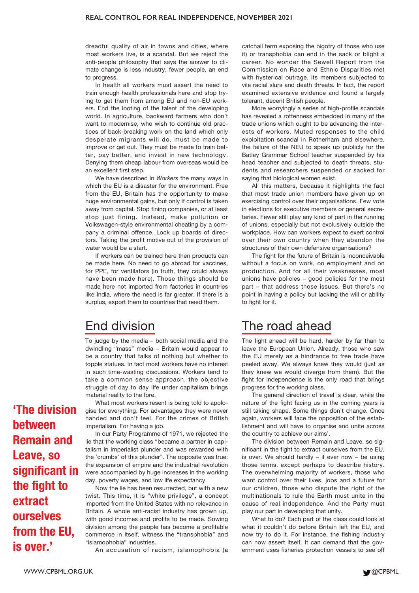dreadful quality of air in towns and cities, where most workers live, is a scandal. But we reject the anti-people philosophy that says the answer to climate change is less industry, fewer people, an end to progress.

In health all workers must assert the need to train enough health professionals here and stop trying to get them from among EU and non-EU workers. End the looting of the talent of the developing world. In agriculture, backward farmers who don't want to modernise, who wish to continue old practices of back-breaking work on the land which only desperate migrants will do, must be made to improve or get out. They must be made to train better, pay better, and invest in new technology. Denying them cheap labour from overseas would be an excellent first step.

We have described in *Workers* the many ways in which the EU is a disaster for the environment. Free from the EU, Britain has the opportunity to make huge environmental gains, but only if control is taken away from capital. Stop fining companies, or at least stop just fining. Instead, make pollution or Volkswagen-style environmental cheating by a company a criminal offence. Lock up boards of directors. Taking the profit motive out of the provision of water would be a start.

If workers can be trained here then products can be made here. No need to go abroad for vaccines, for PPE, for ventilators (in truth, they could always have been made here). Those things should be made here not imported from factories in countries like India, where the need is far greater. If there is a surplus, export them to countries that need them.

## End division

To judge by the media – both social media and the dwindling "mass" media – Britain would appear to be a country that talks of nothing but whether to topple statues. In fact most workers have no interest in such time-wasting discussions. Workers tend to take a common sense approach, the objective struggle of day to day life under capitalism brings material reality to the fore.

What most workers resent is being told to apologise for everything. For advantages they were never handed and don't feel. For the crimes of British imperialism. For having a job.

In our Party Programme of 1971, we rejected the lie that the working class "became a partner in capitalism in imperialist plunder and was rewarded with the 'crumbs' of this plunder". The opposite was true: the expansion of empire and the industrial revolution were accompanied by huge increases in the working day, poverty wages, and low life expectancy.

Now the lie has been resurrected, but with a new twist. This time, it is "white privilege", a concept imported from the United States with no relevance in Britain. A whole anti-racist industry has grown up, with good incomes and profits to be made. Sowing division among the people has become a profitable commerce in itself, witness the "transphobia" and "islamophobia" industries.

An accusation of racism, islamophobia (a

catchall term exposing the bigotry of those who use it) or transphobia can end in the sack or blight a career. No wonder the Sewell Report from the Commission on Race and Ethnic Disparities met with hysterical outrage, its members subjected to vile racial slurs and death threats. In fact, the report examined extensive evidence and found a largely tolerant, decent British people.

More worryingly a series of high-profile scandals has revealed a rottenness embedded in many of the trade unions which ought to be advancing the interests of workers. Muted responses to the child exploitation scandal in Rotherham and elsewhere, the failure of the NEU to speak up publicly for the Batley Grammar School teacher suspended by his head teacher and subjected to death threats, students and researchers suspended or sacked for saying that biological women exist.

All this matters, because it highlights the fact that most trade union members have given up on exercising control over their organisations. Few vote in elections for executive members or general secretaries. Fewer still play any kind of part in the running of unions, especially but not exclusively outside the workplace. How can workers expect to exert control over their own country when they abandon the structures of their own defensive organisations?

The fight for the future of Britain is inconceivable without a focus on work, on employment and on production. And for all their weaknesses, most unions have policies – good policies for the most part – that address those issues. But there's no point in having a policy but lacking the will or ability to fight for it.

## The road ahead

The fight ahead will be hard, harder by far than to leave the European Union. Already, those who saw the EU merely as a hindrance to free trade have peeled away. We always knew they would (just as they knew we would diverge from them). But the fight for independence is the only road that brings progress for the working class.

The general direction of travel is clear, while the nature of the fight facing us in the coming years is still taking shape. Some things don't change. Once again, workers will face the opposition of the establishment and will have to organise and unite across the country to achieve our aims'.

The division between Remain and Leave, so significant in the fight to extract ourselves from the EU, is over. We should hardly – if ever now – be using those terms, except perhaps to describe history. The overwhelming majority of workers, those who want control over their lives, jobs and a future for our children, those who dispute the right of the multinationals to rule the Earth must unite in the cause of real independence. And the Party must play our part in developing that unity.

What to do? Each part of the class could look at what it couldn't do before Britain left the EU, and now try to do it. For instance, the fishing industry can now assert itself. It can demand that the government uses fisheries protection vessels to see off

**'The division between Remain and Leave, so significant in the fight to extract ourselves from the EU, is over.'**